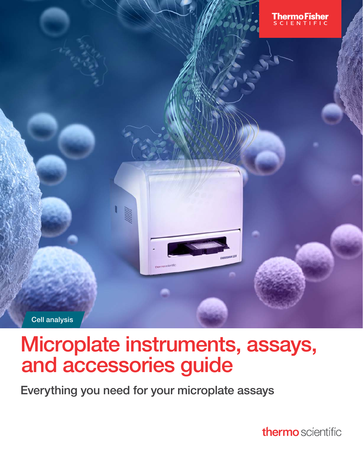

# Microplate instruments, assays, and accessories guide

Everything you need for your microplate assays

thermo scientific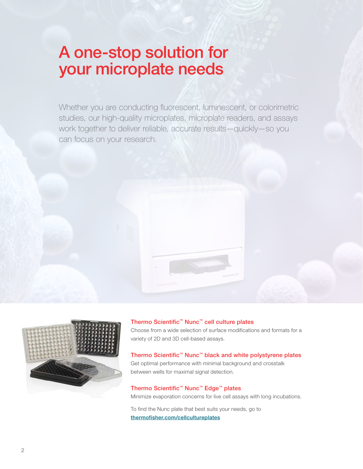### A one-stop solution for your microplate needs

Whether you are conducting fluorescent, luminescent, or colorimetric studies, our high-quality microplates, microplate readers, and assays work together to deliver reliable, accurate results—quickly—so you can focus on your research.





Thermo Scientific™ Nunc™ cell culture plates

Choose from a wide selection of surface modifications and formats for a variety of 2D and 3D cell-based assays.

### Thermo Scientific™ Nunc™ black and white polystyrene plates

Get optimal performance with minimal background and crosstalk between wells for maximal signal detection.

#### Thermo Scientific™ Nunc™ Edge™ plates

Minimize evaporation concerns for live cell assays with long incubations.

To find the Nunc plate that best suits your needs, go to [thermofisher.com/cellcultureplates](http://thermofisher.com/cellcultureplates)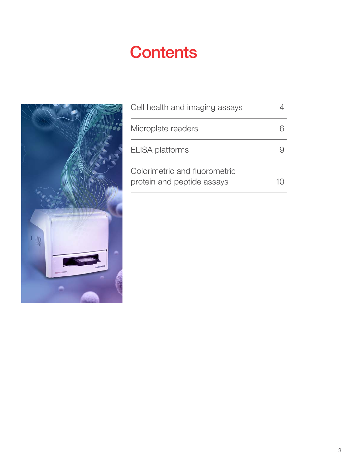# **Contents**



| Cell health and imaging assays                              |  |
|-------------------------------------------------------------|--|
| Microplate readers                                          |  |
| <b>ELISA</b> platforms                                      |  |
| Colorimetric and fluorometric<br>protein and peptide assays |  |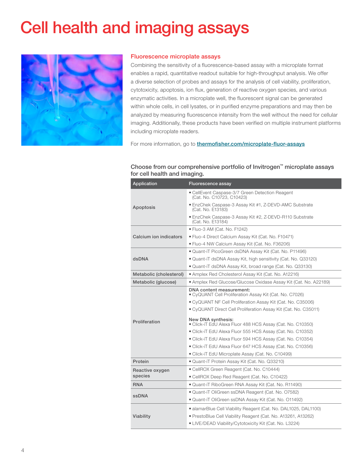# <span id="page-3-0"></span>Cell health and imaging assays



#### Fluorescence microplate assays

Combining the sensitivity of a fluorescence-based assay with a microplate format enables a rapid, quantitative readout suitable for high-throughput analysis. We offer a diverse selection of probes and assays for the analysis of cell viability, proliferation, cytotoxicity, apoptosis, ion flux, generation of reactive oxygen species, and various enzymatic activities. In a microplate well, the fluorescent signal can be generated within whole cells, in cell lysates, or in purified enzyme preparations and may then be analyzed by measuring fluorescence intensity from the well without the need for cellular imaging. Additionally, these products have been verified on multiple instrument platforms including microplate readers.

For more information, go to **[thermofisher.com/microplate-fluor-assays](http://thermofisher.com/microplate-fluor-assays)** 

#### Choose from our comprehensive portfolio of Invitrogen™ microplate assays for cell health and imaging.

| Application             | Fluorescence assay                                                                  |  |  |  |  |
|-------------------------|-------------------------------------------------------------------------------------|--|--|--|--|
|                         | • CellEvent Caspase-3/7 Green Detection Reagent<br>(Cat. No. C10723, C10423)        |  |  |  |  |
| Apoptosis               | • EnzChek Caspase-3 Assay Kit #1, Z-DEVD-AMC Substrate<br>(Cat. No. E13183)         |  |  |  |  |
|                         | • EnzChek Caspase-3 Assay Kit #2, Z-DEVD-R110 Substrate<br>(Cat. No. E13184)        |  |  |  |  |
|                         | • Fluo-3 AM (Cat. No. F1242)                                                        |  |  |  |  |
| Calcium ion indicators  | • Fluo-4 Direct Calcium Assay Kit (Cat. No. F10471)                                 |  |  |  |  |
|                         | • Fluo-4 NW Calcium Assay Kit (Cat. No. F36206)                                     |  |  |  |  |
|                         | • Quant-iT PicoGreen dsDNA Assay Kit (Cat. No. P11496)                              |  |  |  |  |
| dsDNA                   | • Quant-iT dsDNA Assay Kit, high sensitivity (Cat. No. Q33120)                      |  |  |  |  |
|                         | • Quant-iT dsDNA Assay Kit, broad range (Cat. No. Q33130)                           |  |  |  |  |
| Metabolic (cholesterol) | • Amplex Red Cholesterol Assay Kit (Cat. No. A12216)                                |  |  |  |  |
| Metabolic (glucose)     | • Amplex Red Glucose/Glucose Oxidase Assay Kit (Cat. No. A22189)                    |  |  |  |  |
|                         | DNA content measurement:<br>· CyQUANT Cell Proliferation Assay Kit (Cat. No. C7026) |  |  |  |  |
|                         | • CyQUANT NF Cell Proliferation Assay Kit (Cat. No. C35006)                         |  |  |  |  |
|                         | • CyQUANT Direct Cell Proliferation Assay Kit (Cat. No. C35011)                     |  |  |  |  |
| Proliferation           | New DNA synthesis:<br>• Click-iT EdU Alexa Fluor 488 HCS Assay (Cat. No. C10350)    |  |  |  |  |
|                         | • Click-iT EdU Alexa Fluor 555 HCS Assay (Cat. No. C10352)                          |  |  |  |  |
|                         | · Click-iT EdU Alexa Fluor 594 HCS Assay (Cat. No. C10354)                          |  |  |  |  |
|                         | · Click-iT EdU Alexa Fluor 647 HCS Assay (Cat. No. C10356)                          |  |  |  |  |
|                         | • Click-iT EdU Microplate Assay (Cat. No. C10499)                                   |  |  |  |  |
| Protein                 | · Quant-iT Protein Assay Kit (Cat. No. Q33210)                                      |  |  |  |  |
| Reactive oxygen         | · CellROX Green Reagent (Cat. No. C10444)                                           |  |  |  |  |
| species                 | • CellROX Deep Red Reagent (Cat. No. C10422)                                        |  |  |  |  |
| <b>RNA</b>              | • Quant-iT RiboGreen RNA Assay Kit (Cat. No. R11490)                                |  |  |  |  |
| <b>ssDNA</b>            | · Quant-iT OliGreen ssDNA Reagent (Cat. No. 07582)                                  |  |  |  |  |
|                         | · Quant-iT OliGreen ssDNA Assay Kit (Cat. No. 011492)                               |  |  |  |  |
|                         | • alamarBlue Cell Viability Reagent (Cat. No. DAL1025, DAL1100)                     |  |  |  |  |
| Viability               | • PrestoBlue Cell Viability Reagent (Cat. No. A13261, A13262)                       |  |  |  |  |
|                         | • LIVE/DEAD Viability/Cytotoxicity Kit (Cat. No. L3224)                             |  |  |  |  |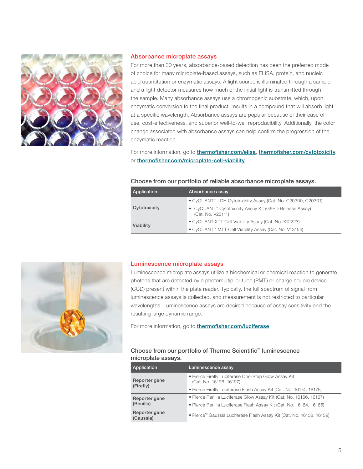

#### Absorbance microplate assays

For more than 30 years, absorbance-based detection has been the preferred mode of choice for many microplate-based assays, such as ELISA, protein, and nucleic acid quantitation or enzymatic assays. A light source is illuminated through a sample and a light detector measures how much of the initial light is transmitted through the sample. Many absorbance assays use a chromogenic substrate, which, upon enzymatic conversion to the final product, results in a compound that will absorb light at a specific wavelength. Absorbance assays are popular because of their ease of use, cost-effectiveness, and superior well-to-well reproducibility. Additionally, the color change associated with absorbance assays can help confirm the progression of the enzymatic reaction.

For more information, go to *[thermofisher.com/elisa](http://thermofisher.com/elisa)*, *[thermofisher.com/cytotoxicity](http://thermofisher.com/cytotoxicity)*, or [thermofisher.com/microplate-cell-viability](http://thermofisher.com/microplate-cell-viability)

#### Choose from our portfolio of reliable absorbance microplate assays.

| <b>Application</b> | Absorbance assay                                                                        |  |
|--------------------|-----------------------------------------------------------------------------------------|--|
|                    | . CyQUANT <sup>™</sup> LDH Cytotoxicity Assay (Cat. No. C20300, C20301)                 |  |
| Cytotoxicity       | ● CyQUANT <sup>™</sup> Cytotoxicity Assay Kit (G6PD Release Assay)<br>(Cat. No. V23111) |  |
| Viability          | • CyQUANT XTT Cell Viability Assay (Cat. No. X12223)                                    |  |
|                    | • CyQUANT™ MTT Cell Viability Assay (Cat. No. V13154)                                   |  |



#### Luminescence microplate assays

Luminescence microplate assays utilize a biochemical or chemical reaction to generate photons that are detected by a photomultiplier tube (PMT) or charge couple device (CCD) present within the plate reader. Typically, the full spectrum of signal from luminescence assays is collected, and measurement is not restricted to particular wavelengths. Luminescence assays are desired because of assay sensitivity and the resulting large dynamic range.

For more information, go to **[thermofisher.com/luciferase](http://thermofisher.com/luciferase)** 

#### Choose from our portfolio of Thermo Scientific™ luminescence microplate assays.

| Application                | Luminescence assay                                                             |
|----------------------------|--------------------------------------------------------------------------------|
| Reporter gene              | • Pierce Firefly Luciferase One-Step Glow Assay Kit<br>(Cat. No. 16196, 16197) |
| (Firefly)                  | • Pierce Firefly Luciferase Flash Assay Kit (Cat. No. 16174, 16175)            |
| Reporter gene              | • Pierce Renilla Luciferase Glow Assay Kit (Cat. No. 16166, 16167)             |
| (Renilla)                  | • Pierce Renilla Luciferase Flash Assay Kit (Cat. No. 16164, 16165)            |
| Reporter gene<br>(Gaussia) | . Pierce™ Gaussia Luciferase Flash Assay Kit (Cat. No. 16158, 16159)           |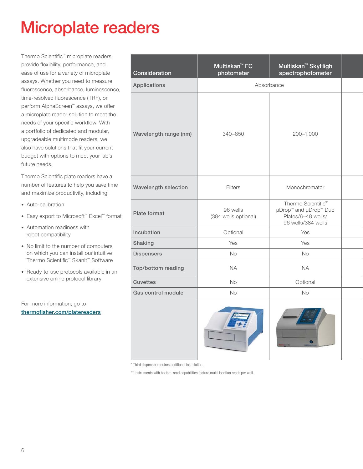### <span id="page-5-0"></span>Microplate readers

Thermo Scientific™ microplate readers provide flexibility, performance, and ease of use for a variety of microplate assays. Whether you need to measure fluorescence, absorbance, luminescence, time-resolved fluorescence (TRF), or perform AlphaScreen™ assays, we offer a microplate reader solution to meet the needs of your specific workflow. With a portfolio of dedicated and modular, upgradeable multimode readers, we also have solutions that fit your current budget with options to meet your lab's future needs.

Thermo Scientific plate readers have a number of features to help you save time and maximize productivity, including:

- Auto-calibration
- Easy export to Microsoft™ Excel™ format
- Automation readiness with robot compatibility
- No limit to the number of computers on which you can install our intuitive Thermo Scientific™ SkanIt™ Software
- Ready-to-use protocols available in an extensive online protocol library

For more information, go to [thermofisher.com/platereaders](http://thermofisher.com/platereaders)

| Consideration         | Multiskan <sup>™</sup> FC<br>photometer | Multiskan <sup>™</sup> SkyHigh<br>spectrophotometer                                                             |  |
|-----------------------|-----------------------------------------|-----------------------------------------------------------------------------------------------------------------|--|
| Applications          |                                         | Absorbance                                                                                                      |  |
| Wavelength range (nm) | 340-850                                 | 200-1,000                                                                                                       |  |
| Wavelength selection  | Filters                                 | Monochromator                                                                                                   |  |
| Plate format          | 96 wells<br>(384 wells optional)        | Thermo Scientific <sup>™</sup><br>µDrop <sup>™</sup> and µDrop™ Duo<br>Plates/6-48 wells/<br>96 wells/384 wells |  |
| Incubation            | Optional                                | Yes                                                                                                             |  |
| Shaking               | Yes                                     | Yes                                                                                                             |  |
| <b>Dispensers</b>     | No                                      | No                                                                                                              |  |
| Top/bottom reading    | <b>NA</b>                               | <b>NA</b>                                                                                                       |  |
| <b>Cuvettes</b>       | <b>No</b>                               | Optional                                                                                                        |  |
| Gas control module    | No                                      | No                                                                                                              |  |
|                       |                                         |                                                                                                                 |  |

\* Third dispenser requires additional installation.

\*\* Instruments with bottom-read capabilities feature multi-location reads per well.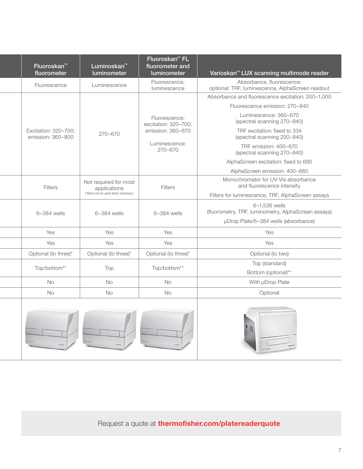| Fluoroskan <sup>™</sup><br>fluorometer    | Luminoskan <sup>™</sup><br>luminometer                                      | Fluoroskan <sup>™</sup> FL<br>fluorometer and<br>luminometer | Varioskan <sup>™</sup> LUX scanning multimode reader                          |
|-------------------------------------------|-----------------------------------------------------------------------------|--------------------------------------------------------------|-------------------------------------------------------------------------------|
| Fluorescence                              | Luminescence                                                                | Fluorescence,<br>luminescence                                | Absorbance, fluorescence;<br>optional: TRF, luminescence, AlphaScreen readout |
|                                           |                                                                             |                                                              | Absorbance and fluorescence excitation: 200-1,000                             |
|                                           |                                                                             |                                                              | Fluorescence emission: 270-840                                                |
|                                           |                                                                             | Fluorescence:<br>excitation: 320-700;                        | Luminescence: 360-670<br>(spectral scanning 270-840)                          |
| Excitation: 320-700;<br>emission: 360-800 | 270-670                                                                     | emission: 360-670                                            | TRF excitation: fixed to 334<br>(spectral scanning 200-840)                   |
|                                           |                                                                             | Luminescence:<br>$270 - 670$                                 | TRF emission: 400-670<br>(spectral scanning 270-840)                          |
|                                           |                                                                             |                                                              | AlphaScreen excitation: fixed to 680                                          |
|                                           |                                                                             |                                                              | AlphaScreen emission: 400-660                                                 |
| Filters                                   | Not required for most<br>applications<br>Filters can be used when necessary | Filters                                                      | Monochromator for UV-Vis absorbance<br>and fluorescence intensity             |
|                                           |                                                                             |                                                              | Filters for luminescence, TRF, AlphaScreen assays                             |
| $6-384$ wells                             | 6-384 wells                                                                 | 6-384 wells                                                  | 6-1,536 wells<br>(fluorometry, TRF, luminometry, AlphaScreen assays)          |
|                                           |                                                                             |                                                              | µDrop Plate/6-384 wells (absorbance)                                          |
| Yes                                       | Yes                                                                         | Yes                                                          | Yes                                                                           |
| Yes                                       | Yes                                                                         | Yes                                                          | Yes                                                                           |
| Optional (to three)*                      | Optional (to three)*                                                        | Optional (to three)*                                         | Optional (to two)                                                             |
| Top/bottom**                              | Top                                                                         | Top/bottom**                                                 | Top (standard)<br>Bottom (optional)**                                         |
| No                                        | No                                                                          | <b>No</b>                                                    | With µDrop Plate                                                              |
| No                                        | No                                                                          | <b>No</b>                                                    | Optional                                                                      |
|                                           |                                                                             |                                                              |                                                                               |

Request a quote at **[thermofisher.com/platereaderquote](http://thermofisher.com/platereaderquote)**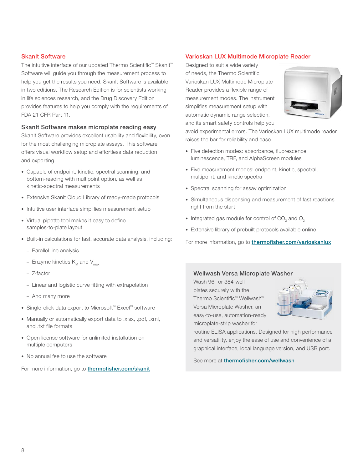#### **SkanIt Software**

The intuitive interface of our updated Thermo Scientific™ SkanIt™ Software will guide you through the measurement process to help you get the results you need. SkanIt Software is available in two editions. The Research Edition is for scientists working in life sciences research, and the Drug Discovery Edition provides features to help you comply with the requirements of FDA 21 CFR Part 11.

#### SkanIt Software makes microplate reading easy

SkanIt Software provides excellent usability and flexibility, even for the most challenging microplate assays. This software offers visual workflow setup and effortless data reduction and exporting.

- Capable of endpoint, kinetic, spectral scanning, and bottom-reading with multipoint option, as well as kinetic-spectral measurements
- Extensive SkanIt Cloud Library of ready-made protocols
- Intuitive user interface simplifies measurement setup
- Virtual pipette tool makes it easy to define samples-to-plate layout
- Built-in calculations for fast, accurate data analysis, including:
	- Parallel line analysis
	- Enzyme kinetics  $K_M$  and  $V_{\text{max}}$
	- Z-factor
	- Linear and logistic curve fitting with extrapolation
	- And many more
- Single-click data export to Microsoft™ Excel™ software
- Manually or automatically export data to .xlsx, .pdf, .xml, and .txt file formats
- Open license software for unlimited installation on multiple computers
- No annual fee to use the software

For more information, go to **[thermofisher.com/skanit](http://thermofisher.com/skanit)** 

#### Varioskan LUX Multimode Microplate Reader

Designed to suit a wide variety of needs, the Thermo Scientific Varioskan LUX Multimode Microplate Reader provides a flexible range of measurement modes. The instrument simplifies measurement setup with automatic dynamic range selection, and its smart safety controls help you



avoid experimental errors. The Varioskan LUX multimode reader raises the bar for reliability and ease.

- Five detection modes: absorbance, fluorescence, luminescence, TRF, and AlphaScreen modules
- Five measurement modes: endpoint, kinetic, spectral, multipoint, and kinetic spectra
- Spectral scanning for assay optimization
- Simultaneous dispensing and measurement of fast reactions right from the start
- Integrated gas module for control of  $CO_2$  and  $O_2$
- Extensive library of prebuilt protocols available online

For more information, go to **[thermofisher.com/varioskanlux](http://thermofisher.com/varioskanlux)** 

#### Wellwash Versa Microplate Washer

Wash 96- or 384-well plates securely with the Thermo Scientific™ Wellwash™ Versa Microplate Washer, an easy-to-use, automation-ready microplate-strip washer for



routine ELISA applications. Designed for high performance and versatility, enjoy the ease of use and convenience of a graphical interface, local language version, and USB port.

See more at [thermofisher.com/wellwash](http://thermofisher.com/wellwash)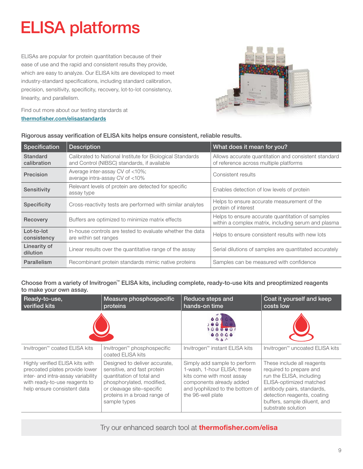# <span id="page-8-0"></span>ELISA platforms

ELISAs are popular for protein quantitation because of their ease of use and the rapid and consistent results they provide, which are easy to analyze. Our ELISA kits are developed to meet industry-standard specifications, including standard calibration, precision, sensitivity, specificity, recovery, lot-to-lot consistency, linearity, and parallelism.



Find out more about our testing standards at [thermofisher.com/elisastandards](http://thermofisher.com/elisastandards)

|  |  |  | Rigorous assay verification of ELISA kits helps ensure consistent, reliable results. |
|--|--|--|--------------------------------------------------------------------------------------|
|  |  |  |                                                                                      |
|  |  |  |                                                                                      |
|  |  |  |                                                                                      |

| Specification             | <b>Description</b>                                                                                       | What does it mean for you?                                                                              |
|---------------------------|----------------------------------------------------------------------------------------------------------|---------------------------------------------------------------------------------------------------------|
| Standard<br>calibration   | Calibrated to National Institute for Biological Standards<br>and Control (NIBSC) standards, if available | Allows accurate quantitation and consistent standard<br>of reference across multiple platforms          |
| Precision                 | Average inter-assay CV of <10%;<br>average intra-assay CV of <10%                                        | Consistent results                                                                                      |
| Sensitivity               | Relevant levels of protein are detected for specific<br>assay type                                       | Enables detection of low levels of protein                                                              |
| <b>Specificity</b>        | Cross-reactivity tests are performed with similar analytes                                               | Helps to ensure accurate measurement of the<br>protein of interest                                      |
| Recovery                  | Buffers are optimized to minimize matrix effects                                                         | Helps to ensure accurate quantitation of samples<br>within a complex matrix, including serum and plasma |
| Lot-to-lot<br>consistency | In-house controls are tested to evaluate whether the data<br>are within set ranges                       | Helps to ensure consistent results with new lots                                                        |
| Linearity of<br>dilution  | Linear results over the quantitative range of the assay                                                  | Serial dilutions of samples are quantitated accurately                                                  |
| Parallelism               | Recombinant protein standards mimic native proteins                                                      | Samples can be measured with confidence                                                                 |

#### Choose from a variety of Invitrogen™ ELISA kits, including complete, ready-to-use kits and preoptimized reagents to make your own assay.

| Ready-to-use,<br>verified kits                                                                                                                                          | Measure phosphospecific<br>proteins                                                                                                                                                                 | Reduce steps and<br>hands-on time                                                                                                                                             | Coat it yourself and keep<br>costs low                                                                                                                                                                                          |
|-------------------------------------------------------------------------------------------------------------------------------------------------------------------------|-----------------------------------------------------------------------------------------------------------------------------------------------------------------------------------------------------|-------------------------------------------------------------------------------------------------------------------------------------------------------------------------------|---------------------------------------------------------------------------------------------------------------------------------------------------------------------------------------------------------------------------------|
|                                                                                                                                                                         |                                                                                                                                                                                                     |                                                                                                                                                                               |                                                                                                                                                                                                                                 |
| Invitrogen™ coated ELISA kits                                                                                                                                           | Invitrogen™ phosphospecific<br>coated ELISA kits                                                                                                                                                    | Invitrogen™ instant ELISA kits                                                                                                                                                | Invitrogen™ uncoated ELISA kits                                                                                                                                                                                                 |
| Highly verified ELISA kits with<br>precoated plates provide lower<br>inter- and intra-assay variability<br>with ready-to-use reagents to<br>help ensure consistent data | Designed to deliver accurate,<br>sensitive, and fast protein<br>quantitation of total and<br>phosphorylated, modified,<br>or cleavage site-specific<br>proteins in a broad range of<br>sample types | Simply add sample to perform<br>1-wash, 1-hour ELISA; these<br>kits come with most assay<br>components already added<br>and lyophilized to the bottom of<br>the 96-well plate | These include all reagents<br>required to prepare and<br>run the ELISA, including<br>ELISA-optimized matched<br>antibody pairs, standards,<br>detection reagents, coating<br>buffers, sample diluent, and<br>substrate solution |

### Try our enhanced search tool at **[thermofisher.com/elisa](http://thermofisher.com/elisa)**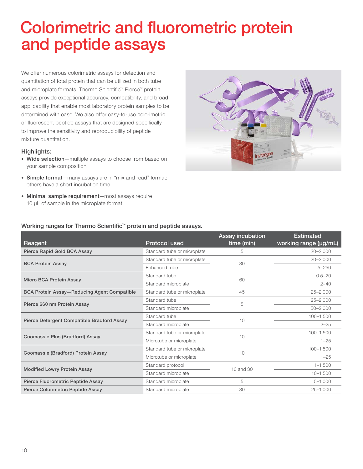### <span id="page-9-0"></span> Colorimetric and fluorometric protein and peptide assays

We offer numerous colorimetric assays for detection and quantitation of total protein that can be utilized in both tube and microplate formats. Thermo Scientific™ Pierce™ protein assays provide exceptional accuracy, compatibility, and broad applicability that enable most laboratory protein samples to be determined with ease. We also offer easy-to-use colorimetric or fluorescent peptide assays that are designed specifically to improve the sensitivity and reproducibility of peptide mixture quantitation.

#### Highlights:

- Wide selection—multiple assays to choose from based on your sample composition
- Simple format-many assays are in "mix and read" format; others have a short incubation time
- Minimal sample requirement—most assays require 10 µL of sample in the microplate format



#### Working ranges for Thermo Scientific<sup>™</sup> protein and peptide assays.

| Reagent                                            | <b>Protocol used</b>        | <b>Assay incubation</b><br>time (min) | <b>Estimated</b><br>working range (µg/mL) |
|----------------------------------------------------|-----------------------------|---------------------------------------|-------------------------------------------|
| Pierce Rapid Gold BCA Assay                        | Standard tube or microplate | 5                                     | $20 - 2,000$                              |
| <b>BCA Protein Assay</b>                           | Standard tube or microplate | 30                                    | $20 - 2,000$                              |
|                                                    | Enhanced tube               |                                       | $5 - 250$                                 |
| Micro BCA Protein Assay                            | Standard tube               | 60                                    | $0.5 - 20$                                |
|                                                    | Standard microplate         |                                       | $2 - 40$                                  |
| <b>BCA Protein Assay-Reducing Agent Compatible</b> | Standard tube or microplate | 45                                    | $125 - 2,000$                             |
| Pierce 660 nm Protein Assay                        | Standard tube               | 5                                     | $25 - 2,000$                              |
|                                                    | Standard microplate         |                                       | $50 - 2,000$                              |
| Pierce Detergent Compatible Bradford Assay         | Standard tube               | 10                                    | $100 - 1,500$                             |
|                                                    | Standard microplate         |                                       | $2 - 25$                                  |
| Coomassie Plus (Bradford) Assay                    | Standard tube or microplate | 10                                    | $100 - 1.500$                             |
|                                                    | Microtube or microplate     |                                       | $1 - 25$                                  |
| Coomassie (Bradford) Protein Assay                 | Standard tube or microplate | 10                                    | $100 - 1,500$                             |
|                                                    | Microtube or microplate     |                                       | $1 - 25$                                  |
|                                                    | Standard protocol           | $10$ and $30$                         | $1 - 1,500$                               |
| <b>Modified Lowry Protein Assay</b>                | Standard microplate         |                                       | $10 - 1,500$                              |
| Pierce Fluorometric Peptide Assay                  | Standard microplate         | 5                                     | $5 - 1,000$                               |
| Pierce Colorimetric Peptide Assay                  | Standard microplate         | 30                                    | $25 - 1.000$                              |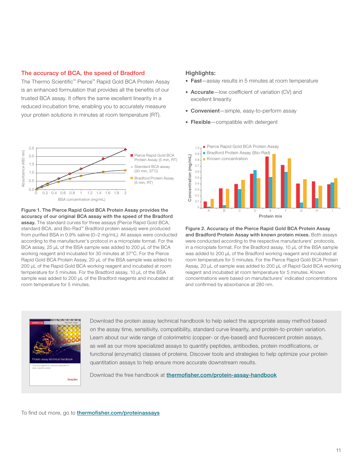#### The accuracy of BCA, the speed of Bradford

The Thermo Scientific™ Pierce™ Rapid Gold BCA Protein Assay is an enhanced formulation that provides all the benefits of our trusted BCA assay. It offers the same excellent linearity in a reduced incubation time, enabling you to accurately measure your protein solutions in minutes at room temperature (RT).



Figure 1. The Pierce Rapid Gold BCA Protein Assay provides the accuracy of our original BCA assay with the speed of the Bradford assay. The standard curves for three assays (Pierce Rapid Gold BCA, standard BCA, and Bio-Rad™ Bradford protein assays) were produced from purified BSA in 0.9% saline (0–2 mg/mL). All assays were conducted according to the manufacturer's protocol in a microplate format. For the BCA assay, 25 µL of the BSA sample was added to 200 µL of the BCA working reagent and incubated for 30 minutes at 37°C. For the Pierce Rapid Gold BCA Protein Assay, 20 µL of the BSA sample was added to 200 µL of the Rapid Gold BCA working reagent and incubated at room temperature for 5 minutes. For the Bradford assay, 10 µL of the BSA sample was added to 200 µL of the Bradford reagents and incubated at room temperature for 5 minutes.

#### Highlights:

- Fast-assay results in 5 minutes at room temperature
- Accurate-low coefficient of variation (CV) and excellent linearity
- Convenient—simple, easy-to-perform assay
- Flexible-compatible with detergent



Figure 2. Accuracy of the Pierce Rapid Gold BCA Protein Assay and Bradford Protein Assay with known protein mixes. Both assays were conducted according to the respective manufacturers' protocols, in a microplate format. For the Bradford assay, 10 μL of the BSA sample was added to 200 μL of the Bradford working reagent and incubated at room temperature for 5 minutes. For the Pierce Rapid Gold BCA Protein Assay, 20 μL of sample was added to 200 μL of Rapid Gold BCA working reagent and incubated at room temperature for 5 minutes. Known concentrations were based on manufacturers' indicated concentrations and confirmed by absorbance at 280 nm.



Download the protein assay technical handbook to help select the appropriate assay method based on the assay time, sensitivity, compatibility, standard curve linearity, and protein-to-protein variation. Learn about our wide range of colorimetric (copper- or dye-based) and fluorescent protein assays, as well as our more specialized assays to quantify peptides, antibodies, protein modifications, or functional (enzymatic) classes of proteins. Discover tools and strategies to help optimize your protein quantitation assays to help ensure more accurate downstream results.

Download the free handbook at [thermofisher.com/protein-assay-handbook](http://thermofisher.com/protein-assay-handbook)